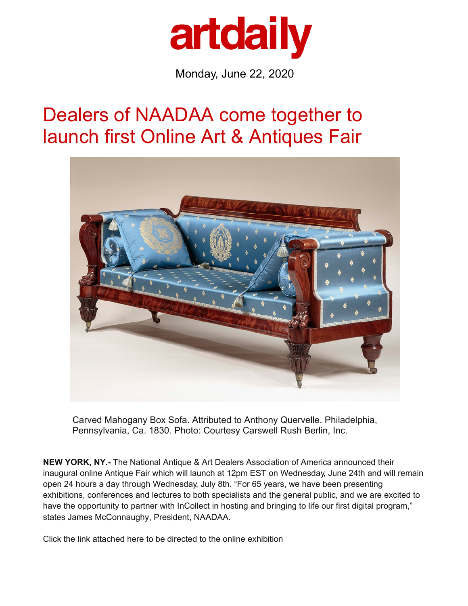

Monday, June 22, 2020

## [Dealers of NAADAA come](https://www.igavelauctions.com/?utm_source=ArtDaily&utm_medium=Banner%20W1&utm_campaign=JUNE2020w2) together to launch first [Online Art](https://artdaily.com/m.asp) & Antiques Fair



Carved Mahogany Box Sofa. Attributed to Anthony Quervelle. Philadelphia, Pennsylvania, Ca. 1830. Photo: Courtesy Carswell Rush Berlin, Inc.

**NEW YORK, NY.-** The National Antique & Art Dealers Association of America announced their [inaugural onl](https://www.liveauctioneers.com/catalog/171295_antiquities-pre-columbian-ethnographic)ine Antique Fair which will launch at 12pm EST on Wednesday, June 24th an[d will remain](https://www.liveauctioneers.com/catalog/171295_antiquities-pre-columbian-ethnographic) open 24 hours a day through Wednesday, July 8th. "For 65 years, we have been presenting exhibitions, conferences and lectures to both specialists and the general public, and we are excited to have the opportunity to partner with InCollect in hosting and bringing to life our first digital program," states James McConnaughy, President, NAADAA.

Click the link attached here to be directed to the online exhibition